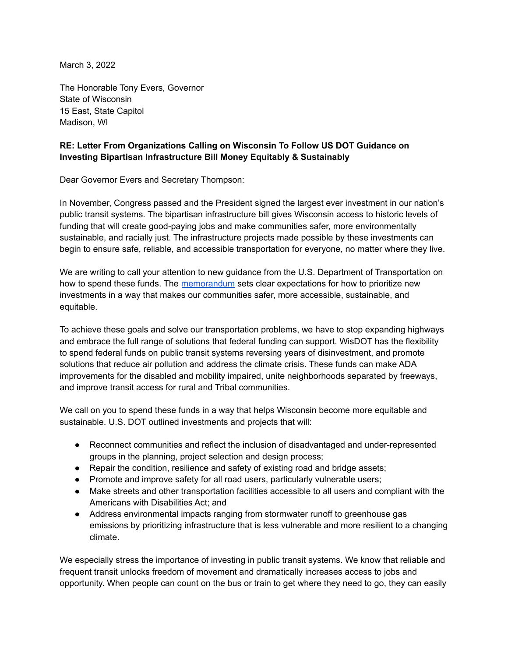March 3, 2022

The Honorable Tony Evers, Governor State of Wisconsin 15 East, State Capitol Madison, WI

## **RE: Letter From Organizations Calling on Wisconsin To Follow US DOT Guidance on Investing Bipartisan Infrastructure Bill Money Equitably & Sustainably**

Dear Governor Evers and Secretary Thompson:

In November, Congress passed and the President signed the largest ever investment in our nation's public transit systems. The bipartisan infrastructure bill gives Wisconsin access to historic levels of funding that will create good-paying jobs and make communities safer, more environmentally sustainable, and racially just. The infrastructure projects made possible by these investments can begin to ensure safe, reliable, and accessible transportation for everyone, no matter where they live.

We are writing to call your attention to new guidance from the U.S. Department of Transportation on how to spend these funds. The [memorandum](https://www.fhwa.dot.gov/bipartisan-infrastructure-law/building_a_better_america-policy_framework.cfm) sets clear expectations for how to prioritize new investments in a way that makes our communities safer, more accessible, sustainable, and equitable.

To achieve these goals and solve our transportation problems, we have to stop expanding highways and embrace the full range of solutions that federal funding can support. WisDOT has the flexibility to spend federal funds on public transit systems reversing years of disinvestment, and promote solutions that reduce air pollution and address the climate crisis. These funds can make ADA improvements for the disabled and mobility impaired, unite neighborhoods separated by freeways, and improve transit access for rural and Tribal communities.

We call on you to spend these funds in a way that helps Wisconsin become more equitable and sustainable. U.S. DOT outlined investments and projects that will:

- Reconnect communities and reflect the inclusion of disadvantaged and under-represented groups in the planning, project selection and design process;
- Repair the condition, resilience and safety of existing road and bridge assets;
- Promote and improve safety for all road users, particularly vulnerable users;
- Make streets and other transportation facilities accessible to all users and compliant with the Americans with Disabilities Act; and
- Address environmental impacts ranging from stormwater runoff to greenhouse gas emissions by prioritizing infrastructure that is less vulnerable and more resilient to a changing climate.

We especially stress the importance of investing in public transit systems. We know that reliable and frequent transit unlocks freedom of movement and dramatically increases access to jobs and opportunity. When people can count on the bus or train to get where they need to go, they can easily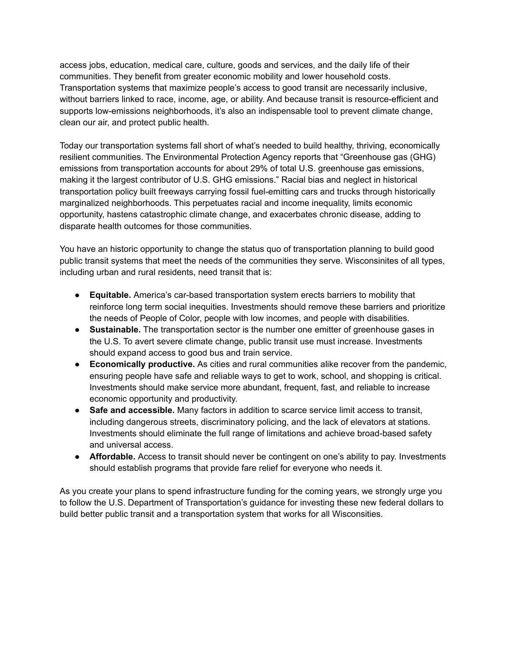access jobs, education, medical care, culture, goods and services, and the daily life of their communities. They benefit from greater economic mobility and lower household costs. Transportation systems that maximize people's access to good transit are necessarily inclusive, without barriers linked to race, income, age, or ability. And because transit is resource-efficient and supports low-emissions neighborhoods, it's also an indispensable tool to prevent climate change, clean our air, and protect public health.

Today our transportation systems fall short of what's needed to build healthy, thriving, economically resilient communities. The Environmental Protection Agency reports that "Greenhouse gas (GHG) emissions from transportation accounts for about 29% of total U.S. greenhouse gas emissions, making it the largest contributor of U.S. GHG emissions." Racial bias and neglect in historical transportation policy built freeways carrying fossil fuel-emitting cars and trucks through historically marginalized neighborhoods. This perpetuates racial and income inequality, limits economic opportunity, hastens catastrophic climate change, and exacerbates chronic disease, adding to disparate health outcomes for those communities.

You have an historic opportunity to change the status quo of transportation planning to build good public transit systems that meet the needs of the communities they serve. Wisconsinites of all types, including urban and rural residents, need transit that is:

- **Equitable.** America's car-based transportation system erects barriers to mobility that reinforce long term social inequities. Investments should remove these barriers and prioritize the needs of People of Color, people with low incomes, and people with disabilities.
- **Sustainable.** The transportation sector is the number one emitter of greenhouse gases in the U.S. To avert severe climate change, public transit use must increase. Investments should expand access to good bus and train service.
- **Economically productive.** As cities and rural communities alike recover from the pandemic, ensuring people have safe and reliable ways to get to work, school, and shopping is critical. Investments should make service more abundant, frequent, fast, and reliable to increase economic opportunity and productivity.
- **Safe and accessible.** Many factors in addition to scarce service limit access to transit, including dangerous streets, discriminatory policing, and the lack of elevators at stations. Investments should eliminate the full range of limitations and achieve broad-based safety and universal access.
- **Affordable.** Access to transit should never be contingent on one's ability to pay. Investments should establish programs that provide fare relief for everyone who needs it.

As you create your plans to spend infrastructure funding for the coming years, we strongly urge you to follow the U.S. Department of Transportation's guidance for investing these new federal dollars to build better public transit and a transportation system that works for all Wisconsities.